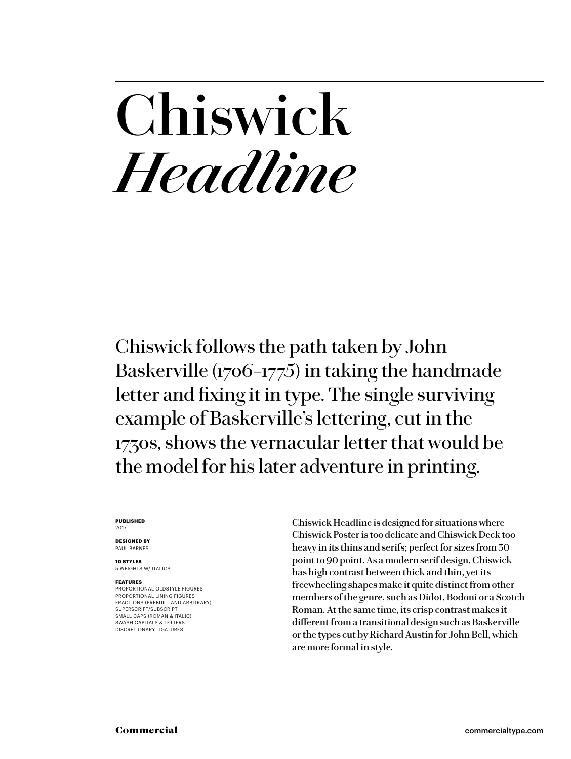## **Chiswick** *Headline*

Chiswick follows the path taken by John Baskerville (1706–1775) in taking the handmade letter and fixing it in type. The single surviving example of Baskerville's lettering, cut in the 1730s, shows the vernacular letter that would be the model for his later adventure in printing.

#### **PUBLISHED** 2017

**DESIGNED BY** PAUL BARNES

**10 STYLES**

5 WEIGHTS W/ ITALICS

### **FEATURES**

PROPORTIONAL OLDSTYLE FIGURES PROPORTIONAL LINING FIGURES FRACTIONS (PREBUILT AND ARBITRARY) SUPERSCRIPT/SUBSCRIPT SMALL CAPS (ROMAN & ITALIC) SWASH CAPITALS & LETTERS DISCRETIONARY LIGATURES

Chiswick Headline is designed for situations where Chiswick Poster is too delicate and Chiswick Deck too heavy in its thins and serifs; perfect for sizes from 30 point to 90 point. As a modern serif design, Chiswick has high contrast between thick and thin, yet its freewheeling shapes make it quite distinct from other members of the genre, such as Didot, Bodoni or a Scotch Roman. At the same time, its crisp contrast makes it different from a transitional design such as Baskerville or the types cut by Richard Austin for John Bell, which are more formal in style.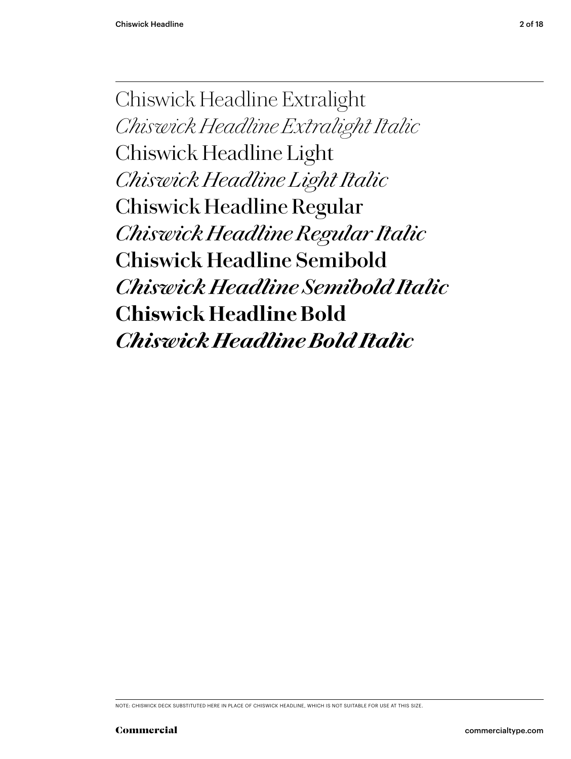Chiswick Headline Extralight *Chiswick Headline Extralight Italic* Chiswick Headline Light *Chiswick Headline Light Italic* Chiswick Headline Regular *Chiswick Headline Regular Italic* **Chiswick Headline Semibold** *Chiswick Headline Semibold Italic* **Chiswick Headline Bold** *Chiswick Headline Bold Italic*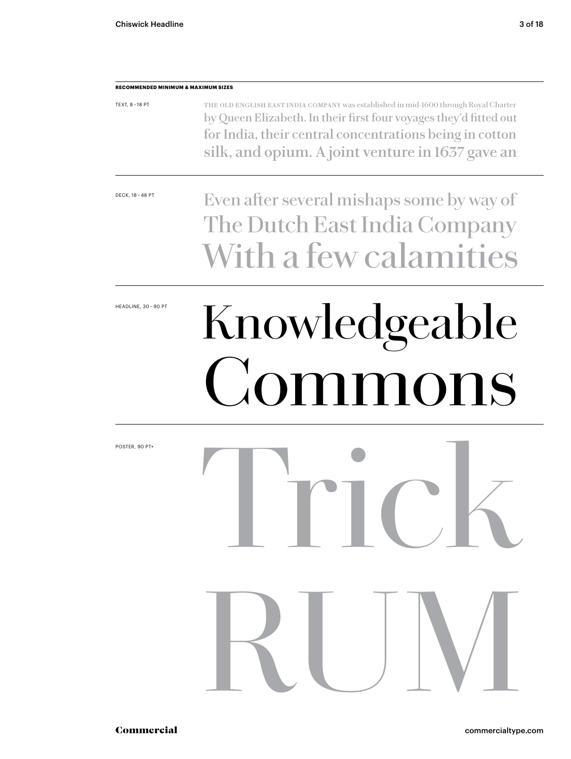### **RECOMMENDED MINIMUM & MAXIMUM SIZES** TEXT, 8 – 18 PT The old English East India Company was established in mid-1600 through Royal Charter by Queen Elizabeth. In their first four voyages they'd fitted out for India, their central concentrations being in cotton silk, and opium. A joint venture in 1637 gave an

DECK, 18-48 PT Even after several mishaps some by way of The Dutch East India Company With a few calamities

# HEADLINE, 30-90PT Knowledgeable Commons

Trick

RUM

POSTER, 90 PT+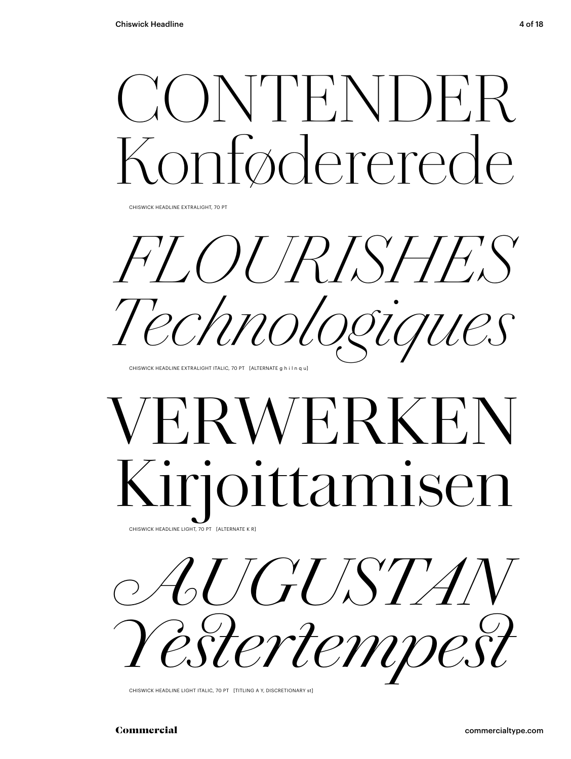# CONTENDER Fødererede

CHISWICK HEADLINE EXTRALIGHT, 70 PT

*FLOURISHES Technologiques*

CHISWICK HEADLINE EXTRALIGHT ITALIC, 70 PT [ALTERNATE g h i l n q u]

## **FRWERKE** Kirjoittamisen CHISWICK HEADLINE LIGHT, 70 PT [ALTERNATE K R]



CHISWICK HEADLINE LIGHT ITALIC, 70 PT [TITLING A Y, DISCRETIONARY st]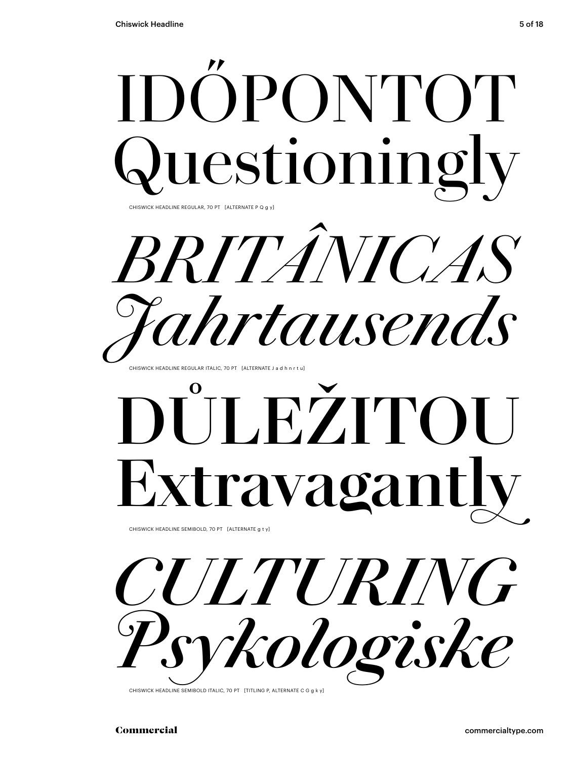

CHISWICK HEADLINE SEMIBOLD, 70 PT [ALTERNATE g t y]



CHISWICK HEADLINE SEMIBOLD ITALIC, 70 PT [TITLING P, ALTERNATE C G g k y]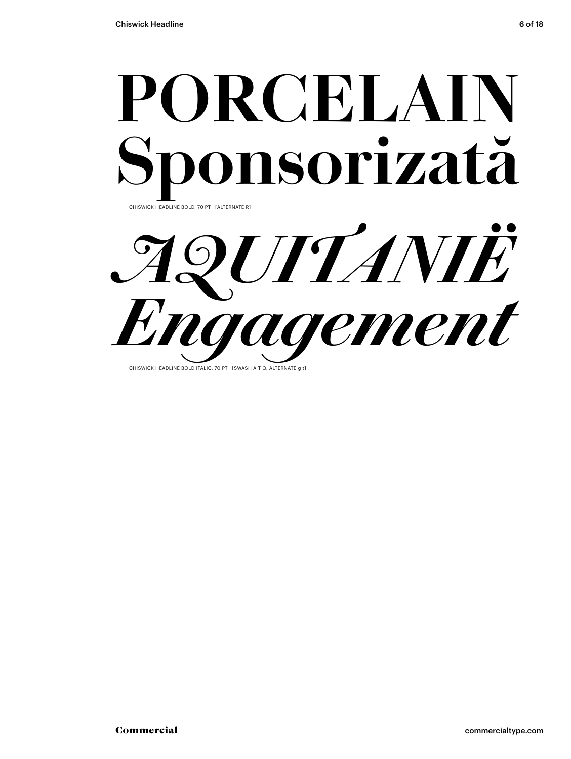

*AQUITANIË Engagement* CHISWICK HEADLINE BOLD ITALIC, 70 PT [SWASH A T Q, ALTERNATE a t]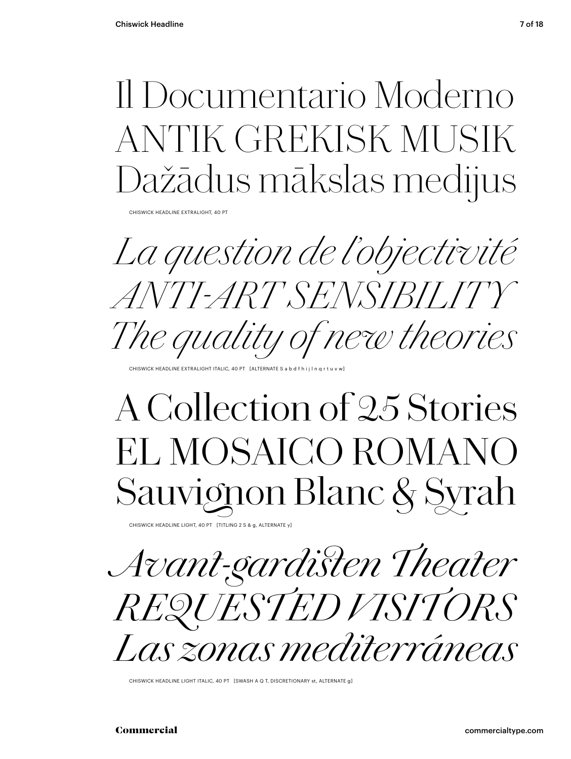### Il Documentario Moderno ANTIK GREKISK MUSIK Dažādus mākslas medijus

CHISWICK HEADLINE EXTRALIGHT, 40 PT

*La question de l'objectivité ANTI-ART SENSIBILITY The quality o� new theories*

HISWICK HEADLINE EXTRALIGHT ITALIC, 40 PT [ALTERNATE S a b d f h i j l n q r

## A Collection of 25 Stories EL MOSAICO ROMANO Sauvignon Blanc & Syrah

CHISWICK HEADLINE LIGHT, 40 PT [TITLING 2 5 & g, ALTERNATE y]

*Avant-gardisten Theater REQUESTED VISITORS Las zonas mediterráneas*

CHISWICK HEADLINE LIGHT ITALIC, 40 PT [SWASH A Q T, DISCRETIONARY st, ALTERNATE g]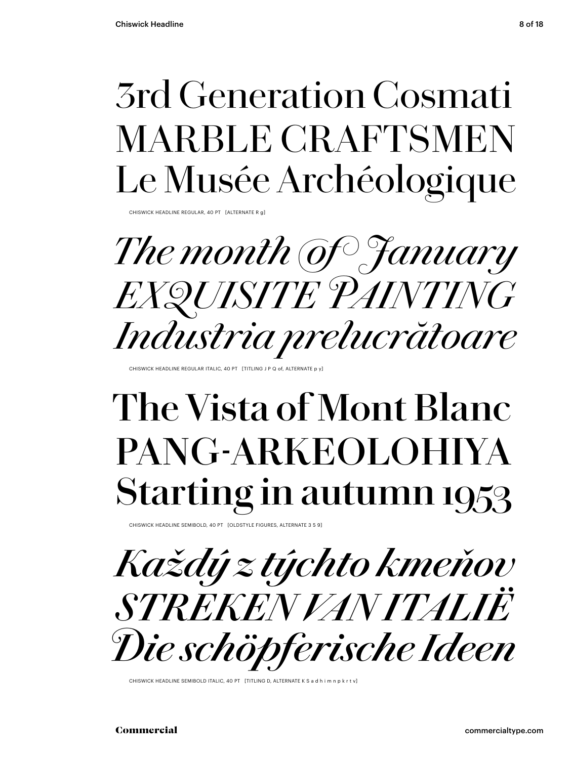### 3rd Generation Cosmati MARBLE CRAFTSMEN Le Musée Archéologique

CHISWICK HEADLINE REGULAR, 40 PT [ALTERNATE F

*The month of January EXQUISITE PAINTING Industria prelucrătoare*

CHISWICK HEADLINE REGULAR ITALIC, 40 PT [TITLING J P Q of, ALTERNATE

## **The Vista of Mont Blanc PANG-ARKEOLOHIYA Starting in autumn 1953**

CHISWICK HEADLINE SEMIBOLD, 40 PT [OLDSTYLE FIGURES, ALTERNATE 3 5 9]



CHISWICK HEADLINE SEMIBOLD ITALIC, 40 PT [TITLING D, ALTERNATE K S a d h i m n p k r t v]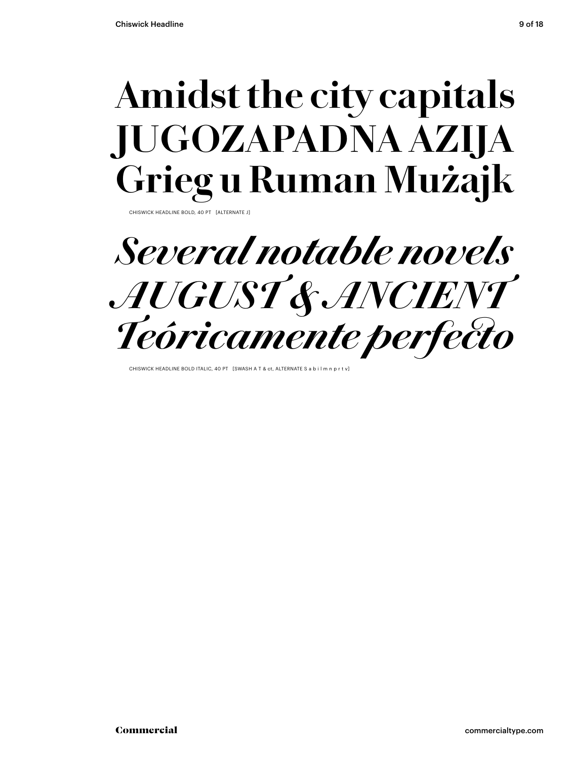## **Amidst the city capitals JUGOZAPADNA AZIJA Grieg u Ruman Mużajk**

CHISWICK HEADLINE BOLD, 40 PT [ALTERNATE J]

*Several notable novels AUGUST & ANCIENT Teóricamente perfecto*

CHISWICK HEADLINE BOLD ITALIC, 40 PT [SWASH A T & ct, ALTERNATE S a b i l m n p r t v]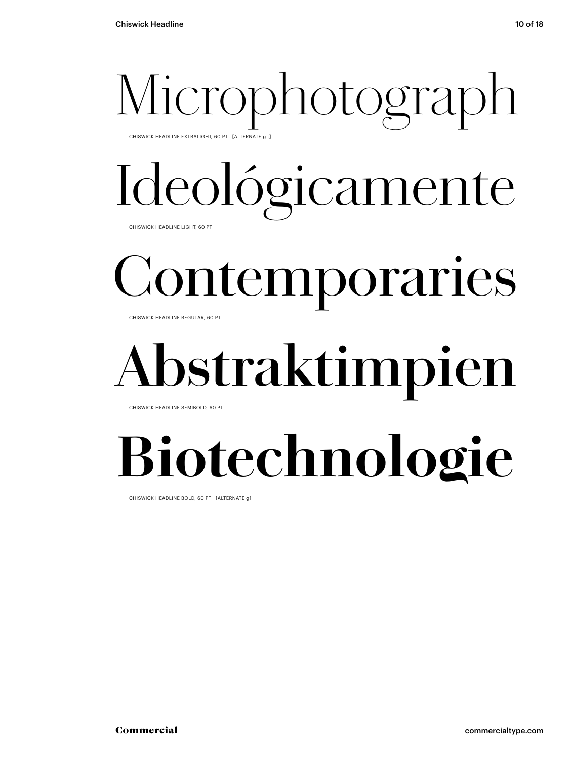# Microphotograph

CHISWICK HEADLINE EXTRALIGHT, 60 PT [ALTERNATE g t]

# Ideológicamente

CHISWICK HEADLINE LIGHT, 60 PT

# Contemporaries

CHISWICK HEADLINE REGULAR, 60 PT

## **Abstraktimpien**

CHISWICK HEADLINE SEMIBOLD, 60 PT

## **Biotechnologie**

CHISWICK HEADLINE BOLD, 60 PT [ALTERNATE g]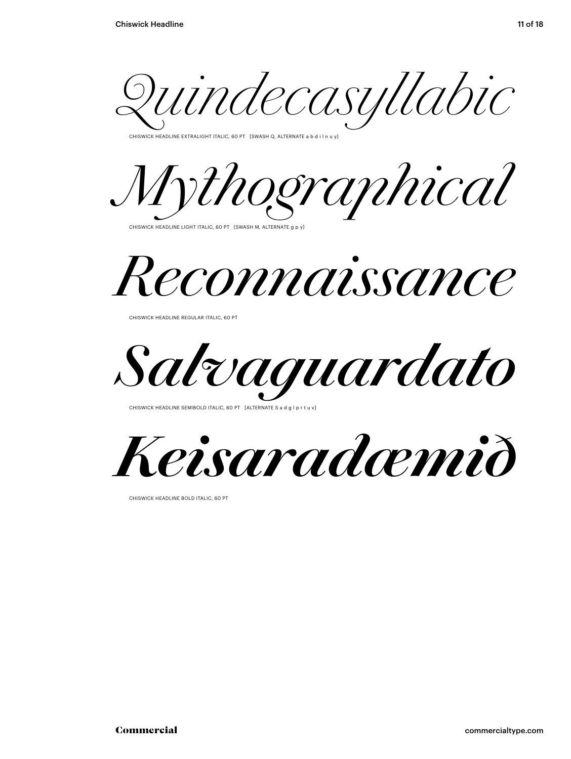*Quindecasyllabic*

.<br>CHISWICK HEADLINE EXTRALIGHT ITALIC, 60 PT [SWASH Q, ALTERNATE a b d i l n u y]





CHISWICK HEADLINE REGULAR ITALIC, 60 PT

*Salvaguardato*

CHISWICK HEADLINE SEMIBOLD ITALIC, 60 PT [ALTERNATE S a d g l p r t u



CHISWICK HEADLINE BOLD ITALIC, 60 PT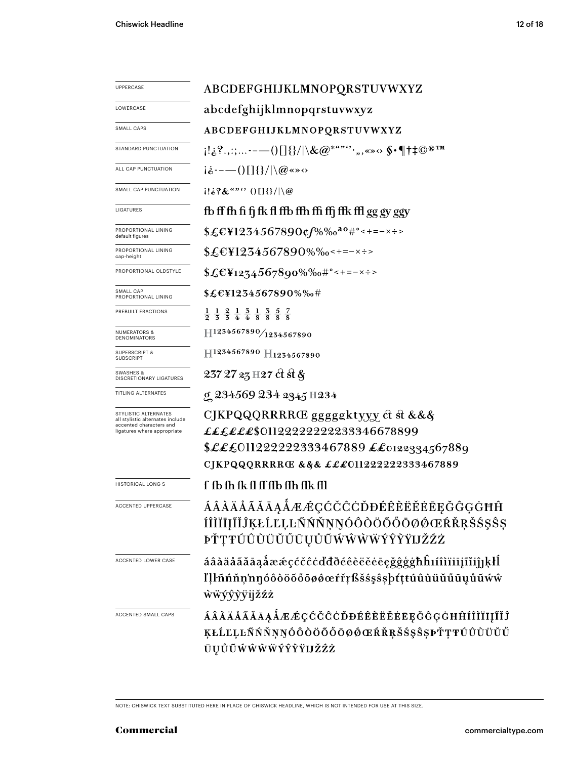| <b>UPPERCASE</b>                                         | ABCDEFGHIJKLMNOPQRSTUVWXYZ                                                                                                                                                                                                                                                                                                                                                                                                                                                                                                                                         |  |  |
|----------------------------------------------------------|--------------------------------------------------------------------------------------------------------------------------------------------------------------------------------------------------------------------------------------------------------------------------------------------------------------------------------------------------------------------------------------------------------------------------------------------------------------------------------------------------------------------------------------------------------------------|--|--|
| LOWERCASE                                                | abcdefghijklmnopqrstuvwxyz                                                                                                                                                                                                                                                                                                                                                                                                                                                                                                                                         |  |  |
| SMALL CAPS                                               | ABCDEFGHIJKLMNOPQRSTUVWXYZ                                                                                                                                                                                                                                                                                                                                                                                                                                                                                                                                         |  |  |
| STANDARD PUNCTUATION                                     | $[1\&^2, \ldots --()[]\{\}/ \&\mathcal{Q}^{"""`", \ldots, \cdots \circ \S \cdot \P \dagger \ddagger \mathbb{C}^{\circledast \texttt{TM}}$                                                                                                                                                                                                                                                                                                                                                                                                                          |  |  |
| ALL CAP PUNCTUATION                                      | $i\dot{\delta}$ ----()[]{}/ \@«»<>                                                                                                                                                                                                                                                                                                                                                                                                                                                                                                                                 |  |  |
| SMALL CAP PUNCTUATION                                    | $ 1!\&? \&$ "" $\langle$ $ 1  \&C $                                                                                                                                                                                                                                                                                                                                                                                                                                                                                                                                |  |  |
| LIGATURES                                                | fb ff fh fi fj fk fl ffb ffh ffi ffj ffk ffl gg gy ggy                                                                                                                                                                                                                                                                                                                                                                                                                                                                                                             |  |  |
| PROPORTIONAL LINING<br>default figures                   | \$£€¥1234567890¢f%‰ <sup>ao</sup> #°<+=-×÷>                                                                                                                                                                                                                                                                                                                                                                                                                                                                                                                        |  |  |
| PROPORTIONAL LINING<br>cap-height                        | $$£EY1234567890\%$ %0 < + = - x ÷ >                                                                                                                                                                                                                                                                                                                                                                                                                                                                                                                                |  |  |
| PROPORTIONAL OLDSTYLE                                    | $$£EY1274567890\%$ %0#°<+=-x÷>                                                                                                                                                                                                                                                                                                                                                                                                                                                                                                                                     |  |  |
| SMALL CAP<br>PROPORTIONAL LINING                         | \$£€¥1234567890%‰#                                                                                                                                                                                                                                                                                                                                                                                                                                                                                                                                                 |  |  |
| PREBUILT FRACTIONS                                       | $\frac{1}{2}$ $\frac{1}{3}$ $\frac{2}{3}$ $\frac{1}{4}$ $\frac{3}{4}$ $\frac{1}{8}$ $\frac{3}{8}$ $\frac{5}{8}$ $\frac{7}{8}$                                                                                                                                                                                                                                                                                                                                                                                                                                      |  |  |
| <b>NUMERATORS &amp;</b><br>DENOMINATORS                  | $\left. \right. \left. \left. \right. \left. \right. \left. \right. \left. \left. \right. \left. \right. \left. \left. \right. \right. \left. \left. \right. \left. \right. \left. \right. \left. \left. \right. \right. \left. \left. \right. \left. \right. \left. \right. \left. \left. \right. \right. \left. \left. \right. \left. \right. \left. \left. \right. \right. \left. \left. \right. \left. \left. \right. \right. \left. \left. \right. \left. \right. \left. \left. \right. \right. \left. \left. \right. \left. \left. \right. \right. \left. \$ |  |  |
| <b>SUPERSCRIPT &amp;</b><br><b>SUBSCRIPT</b>             | H1234567890 H1234567890                                                                                                                                                                                                                                                                                                                                                                                                                                                                                                                                            |  |  |
| SWASHES &<br>DISCRETIONARY LIGATURES                     | 237 27 23 H 27 ct st &                                                                                                                                                                                                                                                                                                                                                                                                                                                                                                                                             |  |  |
| TITLING ALTERNATES                                       | g 234569 234 2345 H234                                                                                                                                                                                                                                                                                                                                                                                                                                                                                                                                             |  |  |
| STYLISTIC ALTERNATES<br>all stylistic alternates include | CJKPQQQRRRRŒ gggggktyyy ct st &&&                                                                                                                                                                                                                                                                                                                                                                                                                                                                                                                                  |  |  |
| accented characters and<br>ligatures where appropriate   | ££££££\$0112222222233346678899                                                                                                                                                                                                                                                                                                                                                                                                                                                                                                                                     |  |  |
|                                                          | \$LL£011222222333467889     ££0122334567889                                                                                                                                                                                                                                                                                                                                                                                                                                                                                                                        |  |  |
|                                                          | CJKPQQQRRRRŒ &&& £££011222222333467889                                                                                                                                                                                                                                                                                                                                                                                                                                                                                                                             |  |  |
| <b>HISTORICAL LONG S</b>                                 | f fb fh fk fl ff ffb ffh ffk ffl                                                                                                                                                                                                                                                                                                                                                                                                                                                                                                                                   |  |  |
| ACCENTED UPPERCASE                                       | ÁÂÀÄÅÃĂĀĄÅÆÆÇĆČĈĊĎĐÉÊÈËĔĖĒĘĞĜĢĠĦĤ                                                                                                                                                                                                                                                                                                                                                                                                                                                                                                                                  |  |  |
|                                                          | ÍÎÌÏĪĮĨĬĴĶŁĹĽĻĿÑŃŇŅŊÓÔÒÖŐŐŌØØŒŔŘŖŠŚŞŜŞ                                                                                                                                                                                                                                                                                                                                                                                                                                                                                                                             |  |  |
|                                                          | ÞŤŢŦÚÛÙÜŬŰŨŲŮŨŴŴŴŴÝŶŶŸIJŽŹŻ                                                                                                                                                                                                                                                                                                                                                                                                                                                                                                                                        |  |  |
| ACCENTED LOWER CASE                                      | áâàäåããāąåææçćčĉċďđðéêèëĕēegğġġħĥıíîìïiijĩĭiĵןķłĺ                                                                                                                                                                                                                                                                                                                                                                                                                                                                                                                  |  |  |
|                                                          | ľļŀñńňņ'nŋóôòöőőøø@efřŗßšśşŝşþtţtúûùüŭűūyůũẃŵ                                                                                                                                                                                                                                                                                                                                                                                                                                                                                                                      |  |  |
|                                                          | <b>wwyxyyijžźż</b>                                                                                                                                                                                                                                                                                                                                                                                                                                                                                                                                                 |  |  |
| ACCENTED SMALL CAPS                                      | <i>ÁÂÀÄÅÃĂĀĄÅÆÆÇĆČĈĊĎĐÉÊÈËĚĖĒĘĞĜĢĠĦĤÍÎÌÏĮĨĬĴ</i>                                                                                                                                                                                                                                                                                                                                                                                                                                                                                                                   |  |  |
|                                                          | ĶŁĹĽĻĿÑŃŇŅŊÓÔŎŎŐŐŌØŐŒŔŘŖŠŚŞŜŞÞŤŢŦÚÛÙŬŬŰ                                                                                                                                                                                                                                                                                                                                                                                                                                                                                                                            |  |  |
|                                                          | ŪŲŮŨŴŴŴŴÝŶŶŸIJŽŹŻ                                                                                                                                                                                                                                                                                                                                                                                                                                                                                                                                                  |  |  |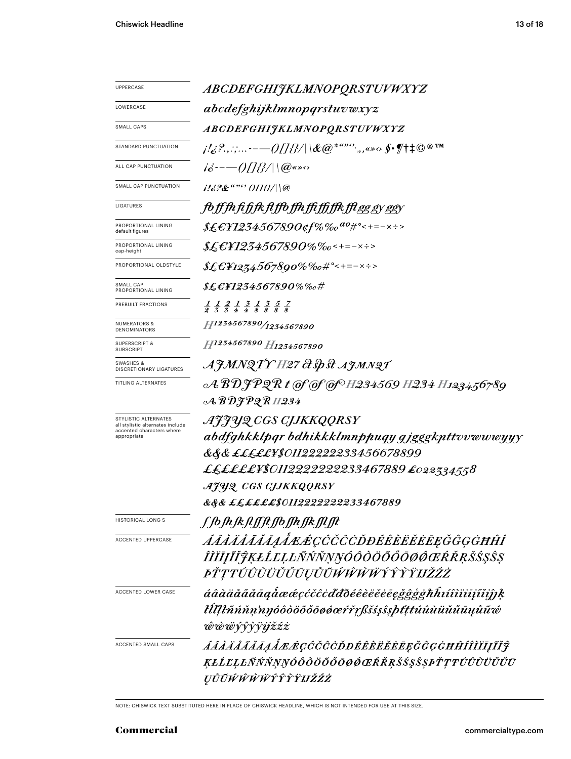| <i>ABCDEFGHIJKLMNOPQRSTUVWXYZ</i>                                                                                                                                                                |  |  |
|--------------------------------------------------------------------------------------------------------------------------------------------------------------------------------------------------|--|--|
| abcdefghijklmnopqrstuvwxyz                                                                                                                                                                       |  |  |
| ABCDEFGHIJKLMNOPQRSTUVWXYZ                                                                                                                                                                       |  |  |
| $\mu/\mathcal{E}^2$ ,,:;- $-\text{---}$ ()[] $\{\beta/\ \text{d} \mathcal{C}\text{e}^{*\text{d} \mathcal{B} \mathcal{C}},$ ,,«» $\circ$ §• $\text{\#}\ddagger\text{\#} \mathbb{O}^{\text{\#}}$ ™ |  |  |
| $i\dot{\varepsilon}$ ---()[]{}/ \@«» $\circ$                                                                                                                                                     |  |  |
| $1132$ & $430$ OHB/\\@                                                                                                                                                                           |  |  |
|                                                                                                                                                                                                  |  |  |
| <i>foffhfifjkflffofhfiffffkfleggyggy</i>                                                                                                                                                         |  |  |
|                                                                                                                                                                                                  |  |  |
| \$£E¥1234567890%‰<+=-×÷>                                                                                                                                                                         |  |  |
| \$£E¥1234567890%‰#°<+=-×÷>                                                                                                                                                                       |  |  |
| $\text{\it X}\pounds\p{f}$ F1234567890%%o#                                                                                                                                                       |  |  |
| $\frac{1}{2}$ $\frac{1}{3}$ $\frac{2}{3}$ $\frac{1}{4}$ $\frac{3}{4}$ $\frac{1}{8}$ $\frac{3}{8}$ $\frac{5}{8}$ $\frac{7}{8}$                                                                    |  |  |
| H1234567890/1234567890                                                                                                                                                                           |  |  |
| H1234567890 H1234567890                                                                                                                                                                          |  |  |
| AJMNQTY H27 & Sp st AJMNQT                                                                                                                                                                       |  |  |
| $\mathcal{A} \mathcal{B} \mathcal{D} \mathcal{J} \mathcal{P} \mathcal{Q} \mathcal{R}$ t of of OCH234569 H234 H123456789                                                                          |  |  |
| $\mathcal{A}\, \mathcal{B}\, \mathcal{D} \mathcal{F} \mathcal{P} \mathcal{Q}\, \mathcal{R}$ H234                                                                                                 |  |  |
| AJJYQ CGS CJJKKQQRSY                                                                                                                                                                             |  |  |
| abdfghkklpgr bdhikkklmnppuqy gjgggkpttvvwwwyyy                                                                                                                                                   |  |  |
| &&& <i>£££££¥\$01122222233456678899</i>                                                                                                                                                          |  |  |
| ££££££¥\$0112222222233467889 £022334558                                                                                                                                                          |  |  |
| AJUQ CGS CIJKKQQRSY                                                                                                                                                                              |  |  |
| &&& <i>££££££\$0112222222233467889</i>                                                                                                                                                           |  |  |
| ſſbſħſkſIJſſŧſſbſſħſſkſſIJŧ                                                                                                                                                                      |  |  |
| ÁÂÀÄÅĂĂĀĄÅÆÆÇĆČĈÒĐÉÊÈËËĔĘĞĜĢĠĦĤÍ                                                                                                                                                                 |  |  |
| ÎĬĬĪĮĨĬĴĶŁĹĽĻĿÑŃŇŅŊÓÔŎŎŎŎŌØŒŔŘŖŠŚŞŜŞ                                                                                                                                                             |  |  |
| <i>ÞŤŢŦÚÛÙŬŬŬŨŲŮŨŴŴŴŴŶŶŶŸIJŽŹŻ</i>                                                                                                                                                               |  |  |
| áâàäåããāaaåææçćčĉcďđðéêèëĕēegğĝģġħĥıíîìïiīįĩiĵĵķ                                                                                                                                                 |  |  |
| łĺllŀñńňṇ'nŋóôòöõőōøøœŕřŗßšśşŝşþťţŧúûùüŭűūųůũ¢                                                                                                                                                   |  |  |
| ŵŵŵŷŷỳïijžźż                                                                                                                                                                                     |  |  |
| ÁÂÀÄÅÃĂĀĄÅÆÆÇĆČĈĊĎĐÉÊÈĔĔĔĘĞĜĢĠĦĤÍÎÌĬĮĨĬĴ                                                                                                                                                         |  |  |
| ĶŁĹĽĻĿÑŃŇŅŊÓÔŎŎŎŎŎØŔŔŖŠŚŞŜŞÞŤŢŦÚÛÙÜŬŰŪ                                                                                                                                                           |  |  |
| ŲŮŨŴŴŴŴŶŶŶŸIJŽŹŻ                                                                                                                                                                                 |  |  |
|                                                                                                                                                                                                  |  |  |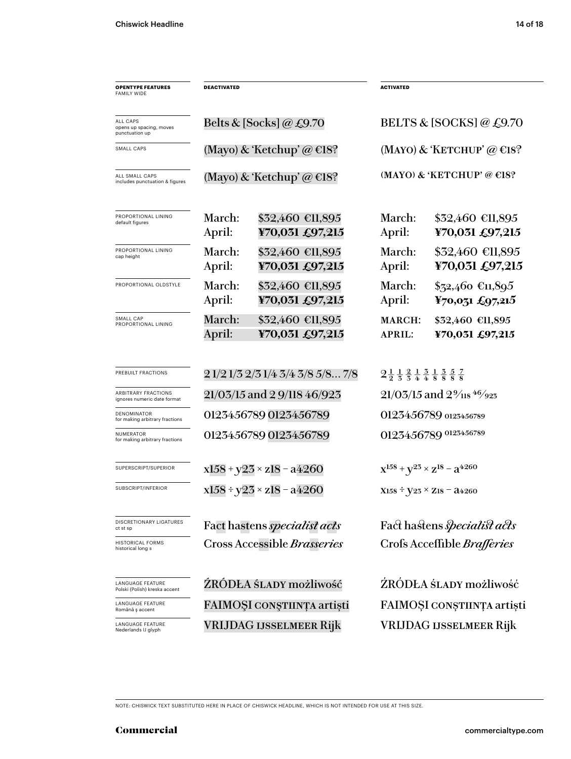| <b>OPENTYPE FEATURES</b><br><b>FAMILY WIDE</b>            | <b>DEACTIVATED</b>                  |                                     | <b>ACTIVATED</b>                                                                                                               |                                             |
|-----------------------------------------------------------|-------------------------------------|-------------------------------------|--------------------------------------------------------------------------------------------------------------------------------|---------------------------------------------|
|                                                           |                                     |                                     |                                                                                                                                |                                             |
| ALL CAPS<br>opens up spacing, moves<br>punctuation up     |                                     | Belts & [Socks] @ £9.70             | BELTS & [SOCKS] @ £9.70                                                                                                        |                                             |
| SMALL CAPS                                                | (Mayo) & 'Ketchup' @ $\in$ 18?      |                                     | (MAYO) & 'KETCHUP' @ $\in$ 18?                                                                                                 |                                             |
| ALL SMALL CAPS<br>includes punctuation & figures          | (Mayo) & 'Ketchup' @ $\in$ 18?      |                                     |                                                                                                                                | (MAYO) & 'KETCHUP' @ $E$ 18?                |
| PROPORTIONAL LINING<br>default figures                    | March:<br>April:                    | \$32,460 €11,895<br>¥70,031 £97,215 | March:<br>April:                                                                                                               | $$32,460$ €11,895<br>¥70,031 £97,215        |
| PROPORTIONAL LINING<br>cap height                         | March:<br>April:                    | \$32,460 €11,895<br>¥70,031 £97,215 | March:<br>April:                                                                                                               | \$32,460 €11,895<br>¥70,031 £97,215         |
| PROPORTIONAL OLDSTYLE                                     | March:<br>April:                    | \$32,460 €11,895<br>¥70,031 £97,215 | March:<br>April:                                                                                                               | $$72,460$ €11,895<br>¥70,031 £97,215        |
| SMALL CAP<br>PROPORTIONAL LINING                          | March:<br>April:                    | \$32,460 €11,895<br>¥70,031 £97,215 | <b>MARCH:</b><br><b>APRIL:</b>                                                                                                 | \$32,460 €11,895<br>¥70,031 £97,215         |
| PREBUILT FRACTIONS                                        | 21/21/32/31/43/43/85/87/8           |                                     | $2\frac{1}{2}$ $\frac{1}{3}$ $\frac{2}{4}$ $\frac{1}{4}$ $\frac{3}{8}$ $\frac{1}{8}$ $\frac{3}{8}$ $\frac{5}{8}$ $\frac{7}{8}$ |                                             |
| <b>ARBITRARY FRACTIONS</b><br>ignores numeric date format | 21/03/15 and 2 9/118 46/923         |                                     |                                                                                                                                | $21/03/15$ and $2\frac{9}{18}$ 46/923       |
| <b>DENOMINATOR</b><br>for making arbitrary fractions      | 0123456789 0123456789               |                                     |                                                                                                                                | 0123456789 0123456789                       |
| NUMERATOR<br>for making arbitrary fractions               |                                     | 0123456789 0123456789               |                                                                                                                                | 0123456789 0123456789                       |
| SUPERSCRIPT/SUPERIOR                                      | $x158 + y23 \times z18 - a4260$     |                                     |                                                                                                                                | $X^{158} + Y^{25} \times Z^{18} - Z^{4260}$ |
| SUBSCRIPT/INFERIOR                                        | $x158 \div y23 \times z18 - a4260$  |                                     |                                                                                                                                | $X158 \div Y23 \times Z18 = 24260$          |
| DISCRETIONARY LIGATURES<br>ct st sp                       | Fact hastens <i>specialist acts</i> |                                     |                                                                                                                                | Fact hastens <i>specialist acts</i>         |
| <b>HISTORICAL FORMS</b><br>historical long s              | Cross Accessible Brasseries         |                                     |                                                                                                                                | Crofs Acceffible Brafferies                 |
| LANGUAGE FEATURE<br>Polski (Polish) kreska accent         |                                     | ŹRÓDŁA ŚLADY możliwość              |                                                                                                                                | ZRÓDŁA ŚLADY możliwość                      |
| LANGUAGE FEATURE<br>Română ș accent                       | FAIMOȘI CONȘTIINȚA artiști          |                                     |                                                                                                                                | FAIMOȘI CONȘTIINȚA artiști                  |
| LANGUAGE FEATURE<br>Nederlands IJ glyph                   | <b>VRIJDAG IJSSELMEER Rijk</b>      |                                     | <b>VRIJDAG IJSSELMEER Rijk</b>                                                                                                 |                                             |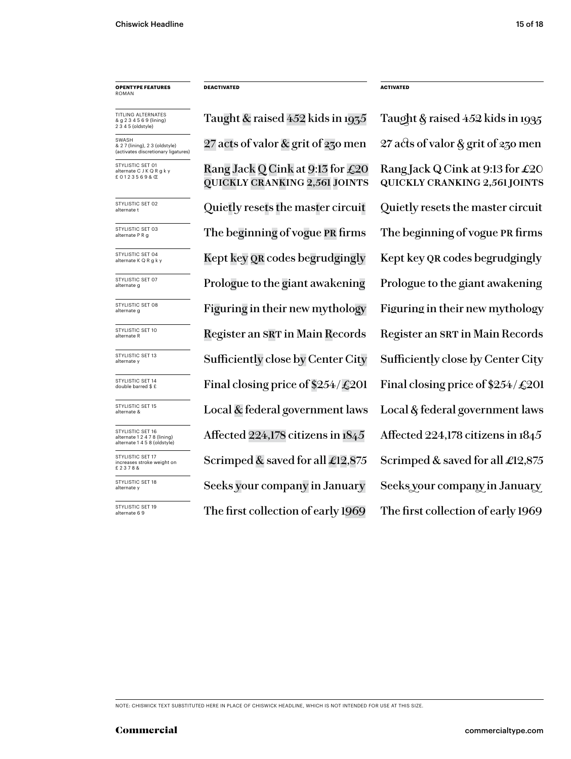### **OPENTYPE FEATURES** ROMAN

TITLING ALTERNATES & g 2 3 4 5 6 9 (lining) 2 3 4 5 (oldstyle)

SWASH & 2 7 (lining), 2 3 (oldstyle) (activates discretionary ligatures)

STYLISTIC SET 01 ate C J K Q R g k y £ 0 1 2 3 5 6 9 & Œ

STYLISTIC SET 02<br>alternate t

STYLISTIC SET 03<br>alternate P R g

STYLISTIC SET 04<br>alternate K Q R g k y

STYLISTIC SET 07<br>alternate g

STYLISTIC SET 08<br>alternate g

STYLISTIC SET 10<br>alternate R

STYLISTIC SET 13<br>alternate y

STYLISTIC SET 14<br>double barred \$ £

STYLISTIC SET 15<br>alternate &

STYLISTIC SET 16 alternate 1 2 4 7 8 (lining) alternate 1 4 5 8 (oldstyle) STYLISTIC SET 17

increases stroke weight on £ 2 3 7 8 &

STYLISTIC SET 18<br>alternate y

STYLISTIC SET 19<br>alternate 6 9

Rang Jack Q Cink at 9:13 for £20 quickly cranking 2,561 joints 27 acts of valor & grit of 230 men 27 acts of valor & grit of 230 men Quietly resets the master circuit Quietly resets the master circuit The beginning of vogue PR firms The beginning of vogue PR firms Kept key QR codes begrudgingly Kept key QR codes begrudgingly Prologue to the giant awakening Prologue to the giant awakening Figuring in their new mythology Figuring in their new mythology Register an SRT in Main Records Register an SRT in Main Records Final closing price of  $$254/\text{\textsterling}201$  Final closing price of  $$254/\text{\textsterling}201$ Local  $\&$  federal government laws Local  $\&$  federal government laws Affected 224,178 citizens in 1845 Affected 224,178 citizens in 1845 Scrimped & saved for all  $\pounds$ 12,875 Scrimped & saved for all  $\pounds$ 12,875 The first collection of early 1969 The first collection of early 1969 Sufficiently close by Center City Sufficiently close by Center City Seeks your company in January Seeks your company in January

**DEACTIVATED ACTIVATED**

Taught & raised 452 kids in 1935 Taught & raised 452 kids in 1935 Rang Jack Q Cink at 9:13 for  $\pounds 20$ quickly cranking 2,561 joints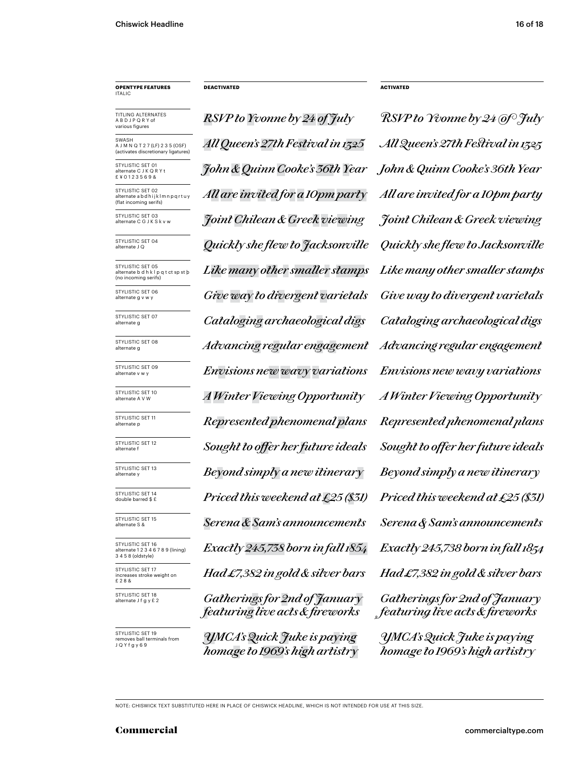### **OPENTYPE FEATURES** ITALIC

TITLING ALTERNATES A B D J P Q R Y of various figures

**SWASH** A J M N Q T 2 7 (LF) 2 3 5 (OSF)<br>(activates discretionary ligatures) (activates discretic

STYLISTIC SET 01 ate C J K Q R Y t £ ¥ 0 1 2 3 5 6 9 &

STYLISTIC SET 02 alternate a b d h i j k l m n p q r t u y (flat incoming serifs)

STYLISTIC SET 03<br>alternate C G J K S k v w

STYLISTIC SET 04

STYLISTIC SET 05 alternate b d h k l p q t ct sp st þ (no incoming serifs)

STYLISTIC SET 06<br>alternate g v w y

STYLISTIC SET 07

STYLISTIC SET 08<br>alternate g

STYLISTIC SET 09<br>alternate v w v

STYLISTIC SET 10<br>alternate A V W

STYLISTIC SET 11<br>alternate p

STYLISTIC SET 12<br>alternate f

STYLISTIC SET 13<br>alternate v

STYLISTIC SET 14<br>double barred \$ £

STYLISTIC SET 15<br>alternate S &

STYLISTIC SET 16 alternate 1 2 3 4 6 7 8 9 (lining) 3 4 5 8 (oldstyle) STYLISTIC SET 17 increases stroke weight on

£ 2 8 & STYLISTIC SET 18<br>alternate J f q y £ 2

STYLISTIC SET 19 ves ball terminals from J Q Y f g y 6 9

*RSVP to Yvonne by 24 of July RSVP to Yvonne by 24 of July John & Quinn Cooke's 36th Year John & Quinn Cooke's 36th Year All Queen's 27th Festival in 1325 All Queen's 27th Festival in 1325 All are invited for a 10pm party All are invited for a 10pm party* alternate C G J K S k v w *Joint Chilean & Greek viewing Joint Chilean & Greek viewing* alternate J Q *Quickly she flew to Jacksonville Quickly she flew to Jacksonville Like many other smaller stamps Like many other smaller stamps* Give way to divergent varietals Give way to divergent varietals alternate g *Cataloging archaeological digs Cataloging archaeological digs* alternate g *Advancing regular engagement Advancing regular engagement* alternate v w y *Envisions new wavy variations Envisions new wavy variations* alternate p *Represented phenomenal plans Represented phenomenal plans Priced this weekend at £25 (\$31) Priced this weekend at £25 (\$31)* alternate S & *Serena & Sam's announcements Serena & Sam's announcements Exactly 245,738 born in fall 1854 Had £7,382 in gold & silver bars* alternate A V W *A Winter Viewing Opportunity A Winter Viewing Opportunity*  $Sought$  to offer her future ideals  $Sought$  to offer her future ideals alternate y *Beyond simply a new itinerary Beyond simply a new itinerary*

alternate J f g y £ 2 *Gatherings for 2nd of January featuring live acts & fireworks*

*YMCA'sQuick Juke is paying homage to 1969's high artistry*

**DEACTIVATED ACTIVATED**

*Exactly 245,738 born in fall 1854 Had �7,382 in gold & silver bars Gatherings for �nd of January featuring live acts & fireworks*

*YMCA's Quick Juke is paying homage to 1969's high artistry*

NOTE: CHISWICK TEXT SUBSTITUTED HERE IN PLACE OF CHISWICK HEADLINE, WHICH IS NOT INTENDED FOR USE AT THIS SIZE.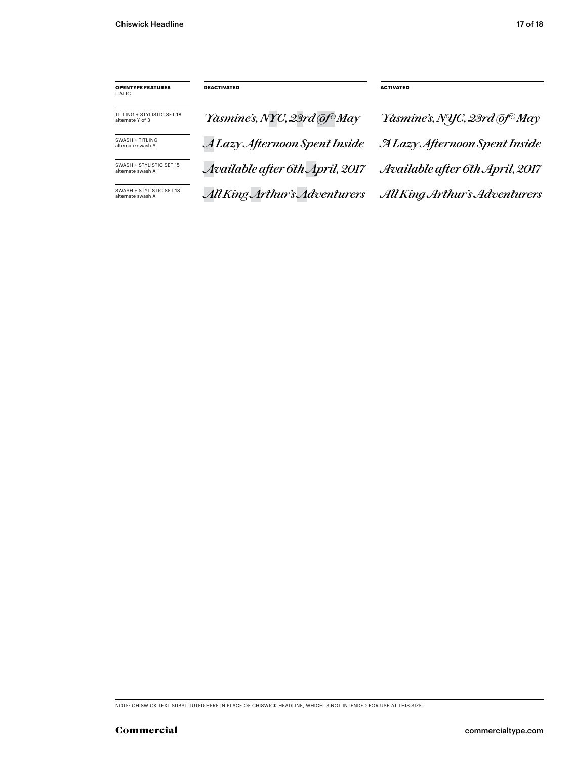| <b>OPENTYPE FEATURES</b><br>ITALIC.            | <b>DEACTIVATED</b>              | <b>ACTIVATED</b>                         |
|------------------------------------------------|---------------------------------|------------------------------------------|
| TITLING + STYLISTIC SET 18<br>alternate Y of 3 | Yasmine's, NYC, 23rd @f May     | Yasmine's, NYC, 23rd @f <sup>o</sup> May |
| SWASH + TITI ING<br>alternate swash A          | A Lazy Afternoon Spent Inside   | <b>ALazy Afternoon Spent Inside</b>      |
| SWASH + STYLISTIC SET 15<br>alternate swash A  | Available after 6th April, 2017 | Available after 6th April, 2017          |
| SWASH + STYLISTIC SET 18<br>alternate swash A  | All King Arthur's Adventurers   | All King Arthur's Adventurers            |